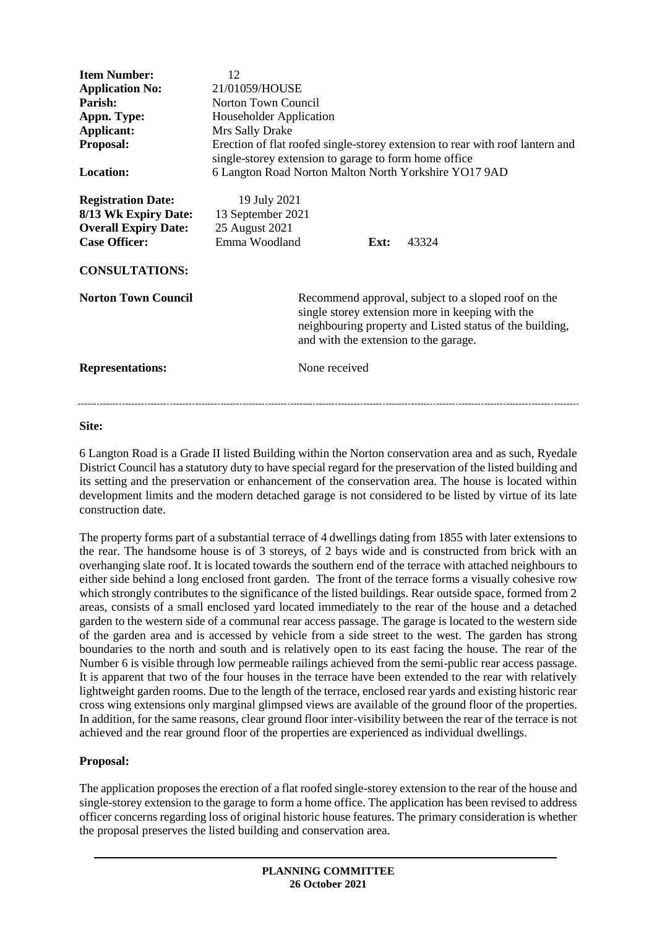| <b>Item Number:</b><br><b>Application No:</b><br>Parish:<br>Appn. Type:<br>Applicant:<br>Proposal:<br><b>Location:</b><br><b>Registration Date:</b><br>8/13 Wk Expiry Date:<br><b>Overall Expiry Date:</b><br><b>Case Officer:</b><br><b>CONSULTATIONS:</b> | 12<br>21/01059/HOUSE<br>Norton Town Council<br>Householder Application<br>Mrs Sally Drake<br>Erection of flat roofed single-storey extension to rear with roof lantern and<br>single-storey extension to garage to form home office<br>6 Langton Road Norton Malton North Yorkshire YO17 9AD<br>19 July 2021<br>13 September 2021<br>25 August 2021<br>Emma Woodland<br>43324<br>Ext: |               |  |  |
|-------------------------------------------------------------------------------------------------------------------------------------------------------------------------------------------------------------------------------------------------------------|---------------------------------------------------------------------------------------------------------------------------------------------------------------------------------------------------------------------------------------------------------------------------------------------------------------------------------------------------------------------------------------|---------------|--|--|
| <b>Norton Town Council</b>                                                                                                                                                                                                                                  | Recommend approval, subject to a sloped roof on the<br>single storey extension more in keeping with the<br>neighbouring property and Listed status of the building,<br>and with the extension to the garage.                                                                                                                                                                          |               |  |  |
| <b>Representations:</b>                                                                                                                                                                                                                                     |                                                                                                                                                                                                                                                                                                                                                                                       | None received |  |  |

#### **Site:**

6 Langton Road is a Grade II listed Building within the Norton conservation area and as such, Ryedale District Council has a statutory duty to have special regard for the preservation of the listed building and its setting and the preservation or enhancement of the conservation area. The house is located within development limits and the modern detached garage is not considered to be listed by virtue of its late construction date.

The property forms part of a substantial terrace of 4 dwellings dating from 1855 with later extensions to the rear. The handsome house is of 3 storeys, of 2 bays wide and is constructed from brick with an overhanging slate roof. It is located towards the southern end of the terrace with attached neighbours to either side behind a long enclosed front garden. The front of the terrace forms a visually cohesive row which strongly contributes to the significance of the listed buildings. Rear outside space, formed from 2 areas, consists of a small enclosed yard located immediately to the rear of the house and a detached garden to the western side of a communal rear access passage. The garage is located to the western side of the garden area and is accessed by vehicle from a side street to the west. The garden has strong boundaries to the north and south and is relatively open to its east facing the house. The rear of the Number 6 is visible through low permeable railings achieved from the semi-public rear access passage. It is apparent that two of the four houses in the terrace have been extended to the rear with relatively lightweight garden rooms. Due to the length of the terrace, enclosed rear yards and existing historic rear cross wing extensions only marginal glimpsed views are available of the ground floor of the properties. In addition, for the same reasons, clear ground floor inter-visibility between the rear of the terrace is not achieved and the rear ground floor of the properties are experienced as individual dwellings.

#### **Proposal:**

The application proposes the erection of a flat roofed single-storey extension to the rear of the house and single-storey extension to the garage to form a home office. The application has been revised to address officer concerns regarding loss of original historic house features. The primary consideration is whether the proposal preserves the listed building and conservation area.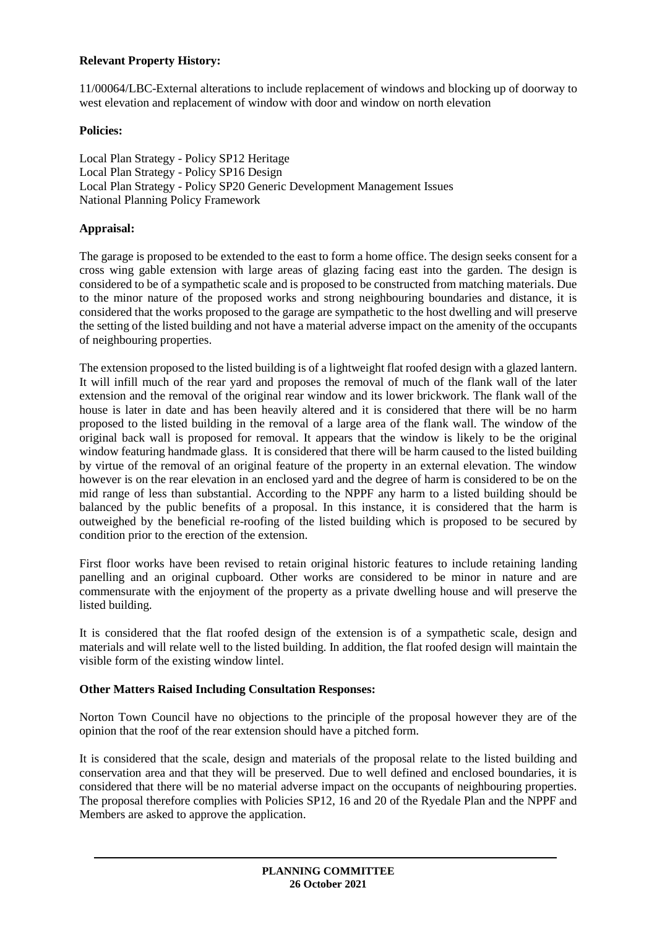# **Relevant Property History:**

11/00064/LBC-External alterations to include replacement of windows and blocking up of doorway to west elevation and replacement of window with door and window on north elevation

### **Policies:**

Local Plan Strategy - Policy SP12 Heritage Local Plan Strategy - Policy SP16 Design Local Plan Strategy - Policy SP20 Generic Development Management Issues National Planning Policy Framework

# **Appraisal:**

The garage is proposed to be extended to the east to form a home office. The design seeks consent for a cross wing gable extension with large areas of glazing facing east into the garden. The design is considered to be of a sympathetic scale and is proposed to be constructed from matching materials. Due to the minor nature of the proposed works and strong neighbouring boundaries and distance, it is considered that the works proposed to the garage are sympathetic to the host dwelling and will preserve the setting of the listed building and not have a material adverse impact on the amenity of the occupants of neighbouring properties.

The extension proposed to the listed building is of a lightweight flat roofed design with a glazed lantern. It will infill much of the rear yard and proposes the removal of much of the flank wall of the later extension and the removal of the original rear window and its lower brickwork. The flank wall of the house is later in date and has been heavily altered and it is considered that there will be no harm proposed to the listed building in the removal of a large area of the flank wall. The window of the original back wall is proposed for removal. It appears that the window is likely to be the original window featuring handmade glass. It is considered that there will be harm caused to the listed building by virtue of the removal of an original feature of the property in an external elevation. The window however is on the rear elevation in an enclosed yard and the degree of harm is considered to be on the mid range of less than substantial. According to the NPPF any harm to a listed building should be balanced by the public benefits of a proposal. In this instance, it is considered that the harm is outweighed by the beneficial re-roofing of the listed building which is proposed to be secured by condition prior to the erection of the extension.

First floor works have been revised to retain original historic features to include retaining landing panelling and an original cupboard. Other works are considered to be minor in nature and are commensurate with the enjoyment of the property as a private dwelling house and will preserve the listed building.

It is considered that the flat roofed design of the extension is of a sympathetic scale, design and materials and will relate well to the listed building. In addition, the flat roofed design will maintain the visible form of the existing window lintel.

## **Other Matters Raised Including Consultation Responses:**

Norton Town Council have no objections to the principle of the proposal however they are of the opinion that the roof of the rear extension should have a pitched form.

It is considered that the scale, design and materials of the proposal relate to the listed building and conservation area and that they will be preserved. Due to well defined and enclosed boundaries, it is considered that there will be no material adverse impact on the occupants of neighbouring properties. The proposal therefore complies with Policies SP12, 16 and 20 of the Ryedale Plan and the NPPF and Members are asked to approve the application.